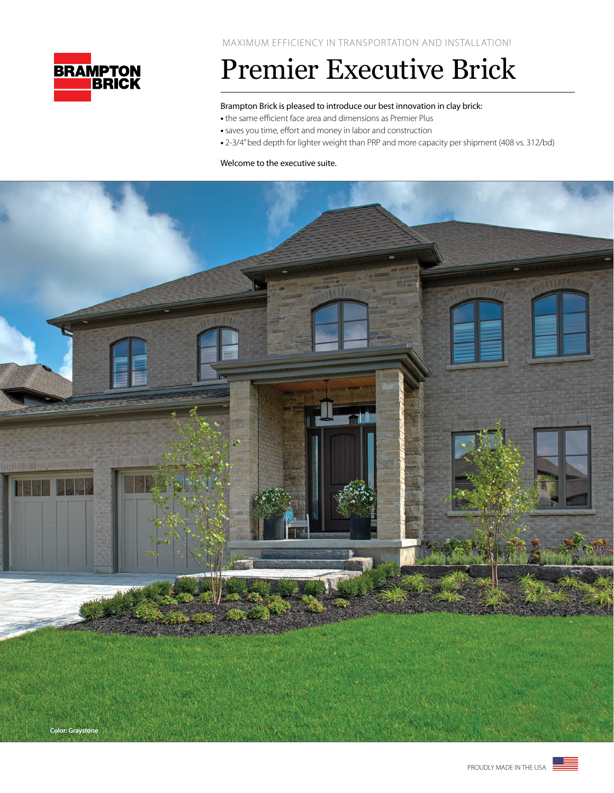

## Premier Executive Brick

## Brampton Brick is pleased to introduce our best innovation in clay brick:

- the same efficient face area and dimensions as Premier Plus
- saves you time, effort and money in labor and construction
- 2-3/4" bed depth for lighter weight than PRP and more capacity per shipment (408 vs. 312/bd)

### Welcome to the executive suite.